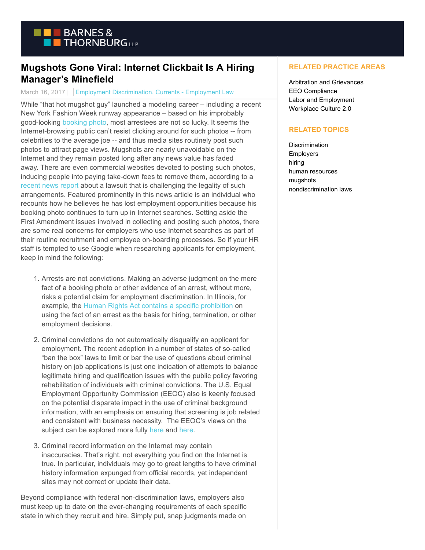

## **Mugshots Gone Viral: Internet Clickbait Is A Hiring Manager's Minefield**

## March 16, 2017 | Employment Discrimination, Currents - Employment Law

While "that hot mugshot guy" launched a modeling career – including a recent New York Fashion Week runway appearance – based on his improbably good-looking [booking photo,](http://www.today.com/style/felon-fashion-hot-convict-jeremy-meeks-sizzles-fashion-show-debut-t108221) most arrestees are not so lucky. It seems the Internet-browsing public can't resist clicking around for such photos -- from celebrities to the average joe -- and thus media sites routinely post such photos to attract page views. Mugshots are nearly unavoidable on the Internet and they remain posted long after any news value has faded away. There are even commercial websites devoted to posting such photos, inducing people into paying take-down fees to remove them, according to a [recent news report](http://www.chicagotribune.com/business/ct-mug-shot-websites-0312-biz-20170310-story.html) about a lawsuit that is challenging the legality of such arrangements. Featured prominently in this news article is an individual who recounts how he believes he has lost employment opportunities because his booking photo continues to turn up in Internet searches. Setting aside the First Amendment issues involved in collecting and posting such photos, there are some real concerns for employers who use Internet searches as part of their routine recruitment and employee on-boarding processes. So if your HR staff is tempted to use Google when researching applicants for employment, keep in mind the following:

- Arrests are not convictions. Making an adverse judgment on the mere 1. fact of a booking photo or other evidence of an arrest, without more, risks a potential claim for employment discrimination. In Illinois, for example, the [Human Rights Act contains a specific prohibition o](http://www.ilga.gov/legislation/ilcs/ilcs4.asp?DocName=077500050HArt%2E+2&ActID=2266&ChapterID=64&SeqStart=600000&SeqEnd=1250000)n using the fact of an arrest as the basis for hiring, termination, or other employment decisions.
- 2. Criminal convictions do not automatically disqualify an applicant for employment. The recent adoption in a number of states of so-called "ban the box" laws to limit or bar the use of questions about criminal history on job applications is just one indication of attempts to balance legitimate hiring and qualification issues with the public policy favoring rehabilitation of individuals with criminal convictions. The U.S. Equal Employment Opportunity Commission (EEOC) also is keenly focused on the potential disparate impact in the use of criminal background information, with an emphasis on ensuring that screening is job related and consistent with business necessity. The EEOC's views on the subject can be explored more fully [here a](https://www.eeoc.gov/laws/guidance/arrest_conviction.cfm)nd [here.](https://www.eeoc.gov/laws/guidance/qa_arrest_conviction.cfm)
- 3. Criminal record information on the Internet may contain inaccuracies. That's right, not everything you find on the Internet is true. In particular, individuals may go to great lengths to have criminal history information expunged from official records, yet independent sites may not correct or update their data.

Beyond compliance with federal non-discrimination laws, employers also must keep up to date on the ever-changing requirements of each specific state in which they recruit and hire. Simply put, snap judgments made on

## **RELATED PRACTICE AREAS**

Arbitration and Grievances EEO Compliance Labor and Employment Workplace Culture 2.0

## **RELATED TOPICS**

**Discrimination** Employers hiring human resources mugshots nondiscrimination laws